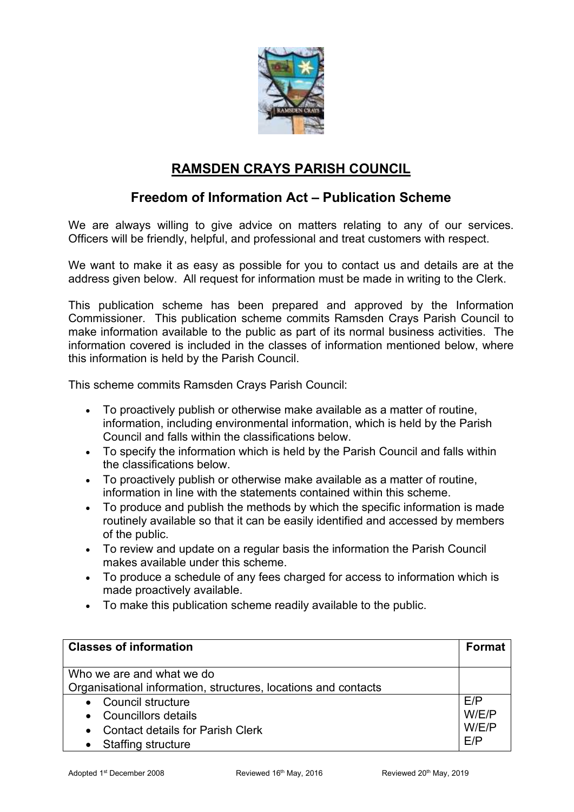

## **RAMSDEN CRAYS PARISH COUNCIL**

### **Freedom of Information Act – Publication Scheme**

We are always willing to give advice on matters relating to any of our services. Officers will be friendly, helpful, and professional and treat customers with respect.

We want to make it as easy as possible for you to contact us and details are at the address given below. All request for information must be made in writing to the Clerk.

This publication scheme has been prepared and approved by the Information Commissioner. This publication scheme commits Ramsden Crays Parish Council to make information available to the public as part of its normal business activities. The information covered is included in the classes of information mentioned below, where this information is held by the Parish Council.

This scheme commits Ramsden Crays Parish Council:

- To proactively publish or otherwise make available as a matter of routine, information, including environmental information, which is held by the Parish Council and falls within the classifications below.
- To specify the information which is held by the Parish Council and falls within the classifications below.
- To proactively publish or otherwise make available as a matter of routine, information in line with the statements contained within this scheme.
- To produce and publish the methods by which the specific information is made routinely available so that it can be easily identified and accessed by members of the public.
- To review and update on a regular basis the information the Parish Council makes available under this scheme.
- To produce a schedule of any fees charged for access to information which is made proactively available.
- To make this publication scheme readily available to the public.

| <b>Classes of information</b>                                  | <b>Format</b> |
|----------------------------------------------------------------|---------------|
| Who we are and what we do                                      |               |
| Organisational information, structures, locations and contacts |               |
| • Council structure                                            | F/P           |
| • Councillors details                                          | W/E/P         |
| <b>Contact details for Parish Clerk</b><br>$\bullet$           | W/E/P         |
| Staffing structure                                             | F/P           |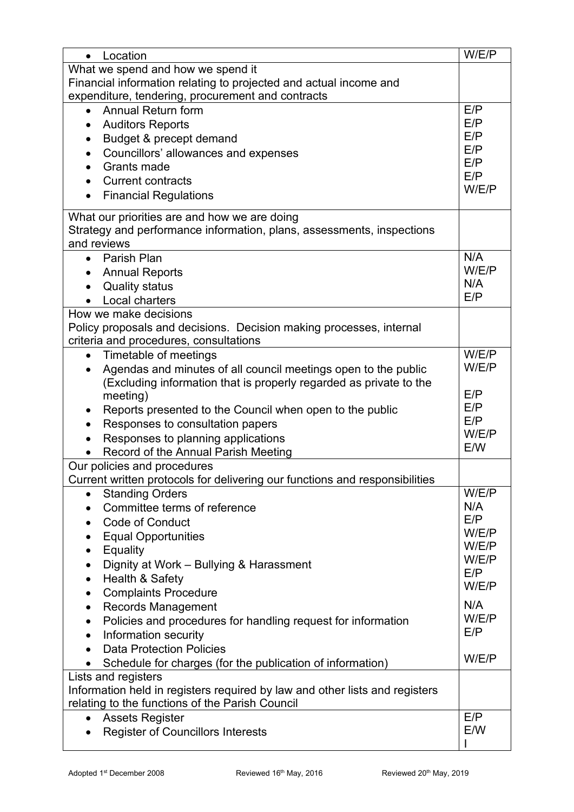| Location<br>$\bullet$                                                       | W/E/P        |
|-----------------------------------------------------------------------------|--------------|
| What we spend and how we spend it                                           |              |
| Financial information relating to projected and actual income and           |              |
| expenditure, tendering, procurement and contracts                           |              |
| Annual Return form                                                          | E/P          |
| <b>Auditors Reports</b>                                                     | E/P          |
| Budget & precept demand                                                     | E/P          |
| Councillors' allowances and expenses<br>٠                                   | E/P          |
| Grants made                                                                 | E/P          |
| <b>Current contracts</b>                                                    | E/P          |
| <b>Financial Regulations</b><br>$\bullet$                                   | W/E/P        |
| What our priorities are and how we are doing                                |              |
| Strategy and performance information, plans, assessments, inspections       |              |
| and reviews                                                                 |              |
| Parish Plan<br>$\bullet$                                                    | N/A          |
| <b>Annual Reports</b>                                                       | W/E/P        |
| <b>Quality status</b>                                                       | N/A          |
| Local charters                                                              | E/P          |
| How we make decisions                                                       |              |
| Policy proposals and decisions. Decision making processes, internal         |              |
| criteria and procedures, consultations                                      |              |
| Timetable of meetings<br>$\bullet$                                          | W/E/P        |
| Agendas and minutes of all council meetings open to the public              | W/E/P        |
| (Excluding information that is properly regarded as private to the          |              |
| meeting)                                                                    | E/P          |
| Reports presented to the Council when open to the public                    | E/P          |
| Responses to consultation papers                                            | E/P          |
| Responses to planning applications                                          | W/E/P        |
| Record of the Annual Parish Meeting                                         | E/W          |
| Our policies and procedures                                                 |              |
| Current written protocols for delivering our functions and responsibilities |              |
| <b>Standing Orders</b><br>$\bullet$                                         | W/E/P        |
| Committee terms of reference<br>$\bullet$                                   | N/A          |
| <b>Code of Conduct</b>                                                      | E/P          |
| <b>Equal Opportunities</b>                                                  | W/E/P        |
| Equality<br>$\bullet$                                                       | W/E/P        |
| Dignity at Work - Bullying & Harassment<br>$\bullet$                        | W/E/P        |
| Health & Safety<br>$\bullet$                                                | E/P<br>W/E/P |
| <b>Complaints Procedure</b><br>$\bullet$                                    |              |
| <b>Records Management</b><br>$\bullet$                                      | N/A          |
| Policies and procedures for handling request for information<br>$\bullet$   | W/E/P        |
| Information security<br>$\bullet$                                           | E/P          |
| <b>Data Protection Policies</b>                                             |              |
| Schedule for charges (for the publication of information)<br>$\bullet$      | W/E/P        |
| Lists and registers                                                         |              |
| Information held in registers required by law and other lists and registers |              |
| relating to the functions of the Parish Council                             |              |
| <b>Assets Register</b><br>$\bullet$                                         | E/P          |
| <b>Register of Councillors Interests</b>                                    | E/W          |
|                                                                             |              |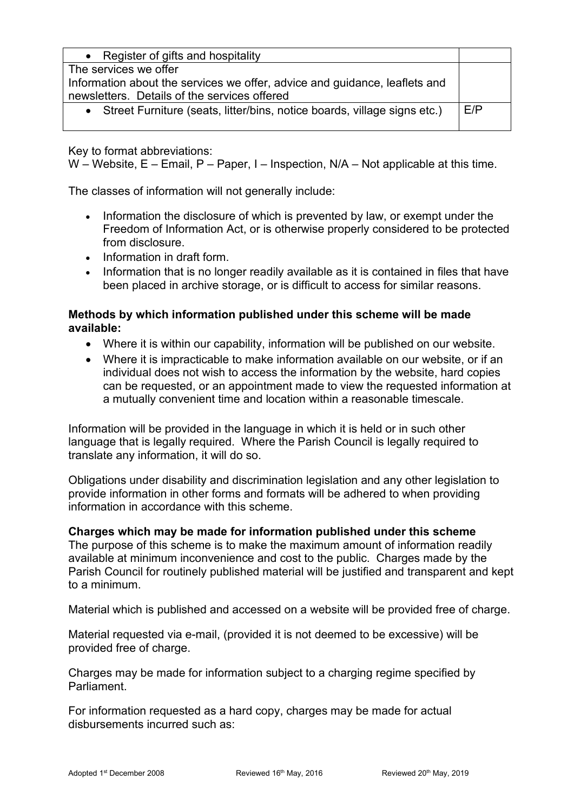| Register of gifts and hospitality<br>$\bullet$                             |     |
|----------------------------------------------------------------------------|-----|
| The services we offer                                                      |     |
| Information about the services we offer, advice and guidance, leaflets and |     |
| newsletters. Details of the services offered                               |     |
| • Street Furniture (seats, litter/bins, notice boards, village signs etc.) | E/P |
|                                                                            |     |

Key to format abbreviations:

W – Website, E – Email, P – Paper, I – Inspection, N/A – Not applicable at this time.

The classes of information will not generally include:

- Information the disclosure of which is prevented by law, or exempt under the Freedom of Information Act, or is otherwise properly considered to be protected from disclosure.
- Information in draft form.
- Information that is no longer readily available as it is contained in files that have been placed in archive storage, or is difficult to access for similar reasons.

#### **Methods by which information published under this scheme will be made available:**

- Where it is within our capability, information will be published on our website.
- Where it is impracticable to make information available on our website, or if an individual does not wish to access the information by the website, hard copies can be requested, or an appointment made to view the requested information at a mutually convenient time and location within a reasonable timescale.

Information will be provided in the language in which it is held or in such other language that is legally required. Where the Parish Council is legally required to translate any information, it will do so.

Obligations under disability and discrimination legislation and any other legislation to provide information in other forms and formats will be adhered to when providing information in accordance with this scheme.

#### **Charges which may be made for information published under this scheme**

The purpose of this scheme is to make the maximum amount of information readily available at minimum inconvenience and cost to the public. Charges made by the Parish Council for routinely published material will be justified and transparent and kept to a minimum.

Material which is published and accessed on a website will be provided free of charge.

Material requested via e-mail, (provided it is not deemed to be excessive) will be provided free of charge.

Charges may be made for information subject to a charging regime specified by Parliament.

For information requested as a hard copy, charges may be made for actual disbursements incurred such as: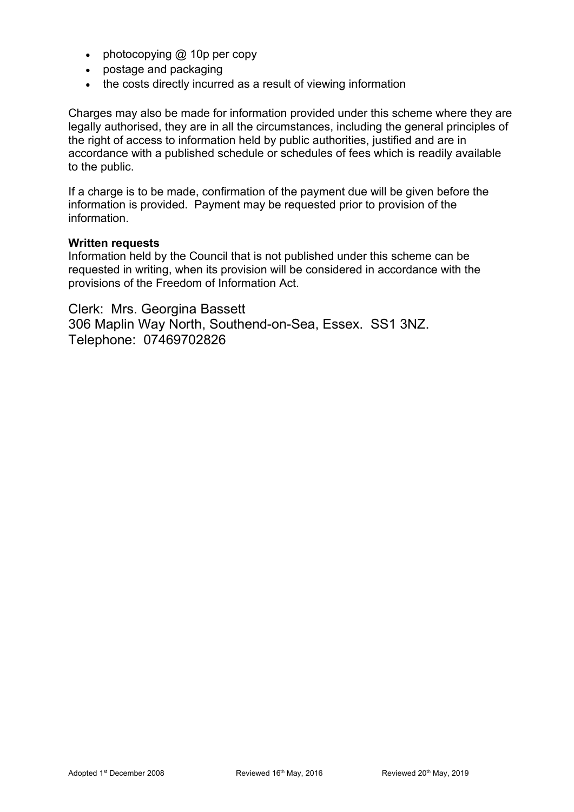- photocopying @ 10p per copy
- postage and packaging
- the costs directly incurred as a result of viewing information

Charges may also be made for information provided under this scheme where they are legally authorised, they are in all the circumstances, including the general principles of the right of access to information held by public authorities, justified and are in accordance with a published schedule or schedules of fees which is readily available to the public.

If a charge is to be made, confirmation of the payment due will be given before the information is provided. Payment may be requested prior to provision of the information.

#### **Written requests**

Information held by the Council that is not published under this scheme can be requested in writing, when its provision will be considered in accordance with the provisions of the Freedom of Information Act.

Clerk: Mrs. Georgina Bassett 306 Maplin Way North, Southend-on-Sea, Essex. SS1 3NZ. Telephone: 07469702826